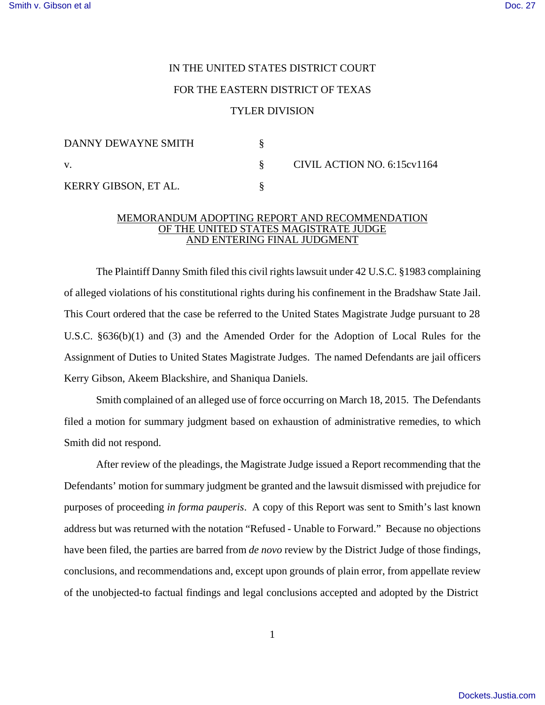## IN THE UNITED STATES DISTRICT COURT FOR THE EASTERN DISTRICT OF TEXAS TYLER DIVISION

| DANNY DEWAYNE SMITH  |  | CIVIL ACTION NO. 6:15cv1164 |
|----------------------|--|-----------------------------|
| V.                   |  |                             |
| KERRY GIBSON, ET AL. |  |                             |

## MEMORANDUM ADOPTING REPORT AND RECOMMENDATION OF THE UNITED STATES MAGISTRATE JUDGE AND ENTERING FINAL JUDGMENT

The Plaintiff Danny Smith filed this civil rights lawsuit under 42 U.S.C. §1983 complaining of alleged violations of his constitutional rights during his confinement in the Bradshaw State Jail. This Court ordered that the case be referred to the United States Magistrate Judge pursuant to 28 U.S.C. §636(b)(1) and (3) and the Amended Order for the Adoption of Local Rules for the Assignment of Duties to United States Magistrate Judges. The named Defendants are jail officers Kerry Gibson, Akeem Blackshire, and Shaniqua Daniels.

Smith complained of an alleged use of force occurring on March 18, 2015. The Defendants filed a motion for summary judgment based on exhaustion of administrative remedies, to which Smith did not respond.

After review of the pleadings, the Magistrate Judge issued a Report recommending that the Defendants' motion for summary judgment be granted and the lawsuit dismissed with prejudice for purposes of proceeding *in forma pauperis*. A copy of this Report was sent to Smith's last known address but was returned with the notation "Refused - Unable to Forward." Because no objections have been filed, the parties are barred from *de novo* review by the District Judge of those findings, conclusions, and recommendations and, except upon grounds of plain error, from appellate review of the unobjected-to factual findings and legal conclusions accepted and adopted by the District